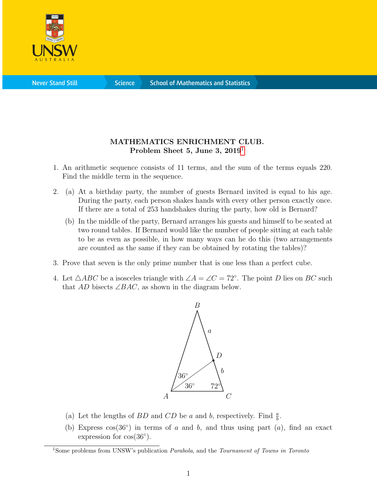

**Science** 

## MATHEMATICS ENRICHMENT CLUB. Problem Sheet 5, June 3, 20[1](#page-0-0)9<sup>1</sup>

- 1. An arithmetic sequence consists of 11 terms, and the sum of the terms equals 220. Find the middle term in the sequence.
- 2. (a) At a birthday party, the number of guests Bernard invited is equal to his age. During the party, each person shakes hands with every other person exactly once. If there are a total of 253 handshakes during the party, how old is Bernard?
	- (b) In the middle of the party, Bernard arranges his guests and himself to be seated at two round tables. If Bernard would like the number of people sitting at each table to be as even as possible, in how many ways can he do this (two arrangements are counted as the same if they can be obtained by rotating the tables)?
- 3. Prove that seven is the only prime number that is one less than a perfect cube.
- 4. Let  $\triangle ABC$  be a isosceles triangle with  $\angle A = \angle C = 72^{\circ}$ . The point D lies on BC such that AD bisects  $\angle BAC$ , as shown in the diagram below.



- (a) Let the lengths of BD and CD be a and b, respectively. Find  $\frac{a}{b}$ .
- (b) Express  $cos(36°)$  in terms of a and b, and thus using part  $(a)$ , find an exact expression for  $cos(36°)$ .

<span id="page-0-0"></span><sup>&</sup>lt;sup>1</sup>Some problems from UNSW's publication *Parabola*, and the *Tournament of Towns in Toronto*